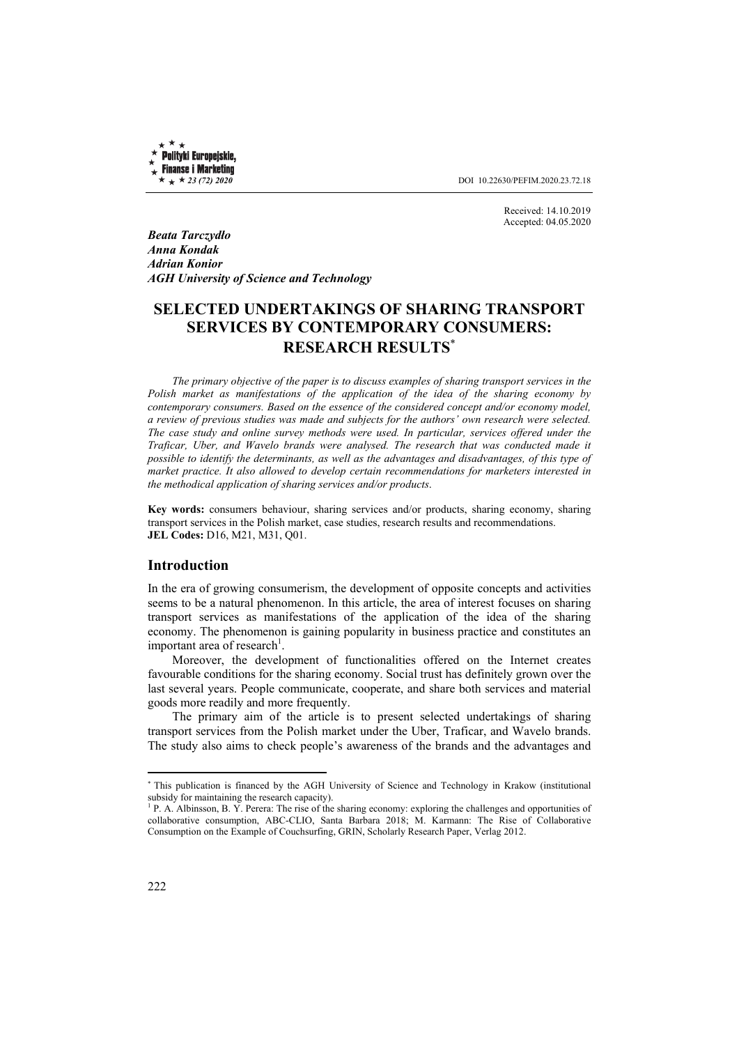Polityki Europejskie, **Finanse i Marketing** 

 $\star \star 23$  (72) 2020 **DOI** 10.22630/PEFIM.2020.23.72.18

Received: 14.10.2019 Accepted: 04.05.2020

*Beata Tarczydło Anna Kondak Adrian Konior AGH University of Science and Technology* 

# **SELECTED UNDERTAKINGS OF SHARING TRANSPORT SERVICES BY CONTEMPORARY CONSUMERS: RESEARCH RESULTS**<sup>∗</sup>

*The primary objective of the paper is to discuss examples of sharing transport services in the Polish market as manifestations of the application of the idea of the sharing economy by contemporary consumers. Based on the essence of the considered concept and/or economy model, a review of previous studies was made and subjects for the authors' own research were selected. The case study and online survey methods were used. In particular, services offered under the Traficar, Uber, and Wavelo brands were analysed. The research that was conducted made it possible to identify the determinants, as well as the advantages and disadvantages, of this type of market practice. It also allowed to develop certain recommendations for marketers interested in the methodical application of sharing services and/or products*.

**Key words:** consumers behaviour, sharing services and/or products, sharing economy, sharing transport services in the Polish market, case studies, research results and recommendations. **JEL Codes:** D16, M21, M31, Q01.

#### **Introduction**

In the era of growing consumerism, the development of opposite concepts and activities seems to be a natural phenomenon. In this article, the area of interest focuses on sharing transport services as manifestations of the application of the idea of the sharing economy. The phenomenon is gaining popularity in business practice and constitutes an important area of research<sup>1</sup>.

Moreover, the development of functionalities offered on the Internet creates favourable conditions for the sharing economy. Social trust has definitely grown over the last several years. People communicate, cooperate, and share both services and material goods more readily and more frequently.

The primary aim of the article is to present selected undertakings of sharing transport services from the Polish market under the Uber, Traficar, and Wavelo brands. The study also aims to check people's awareness of the brands and the advantages and

 $\overline{a}$ 

<sup>∗</sup> This publication is financed by the AGH University of Science and Technology in Krakow (institutional subsidy for maintaining the research capacity).

 $P$ . A. Albinsson, B. Y. Perera: The rise of the sharing economy: exploring the challenges and opportunities of collaborative consumption, ABC-CLIO, Santa Barbara 2018; M. Karmann: The Rise of Collaborative Consumption on the Example of Couchsurfing, GRIN, Scholarly Research Paper, Verlag 2012.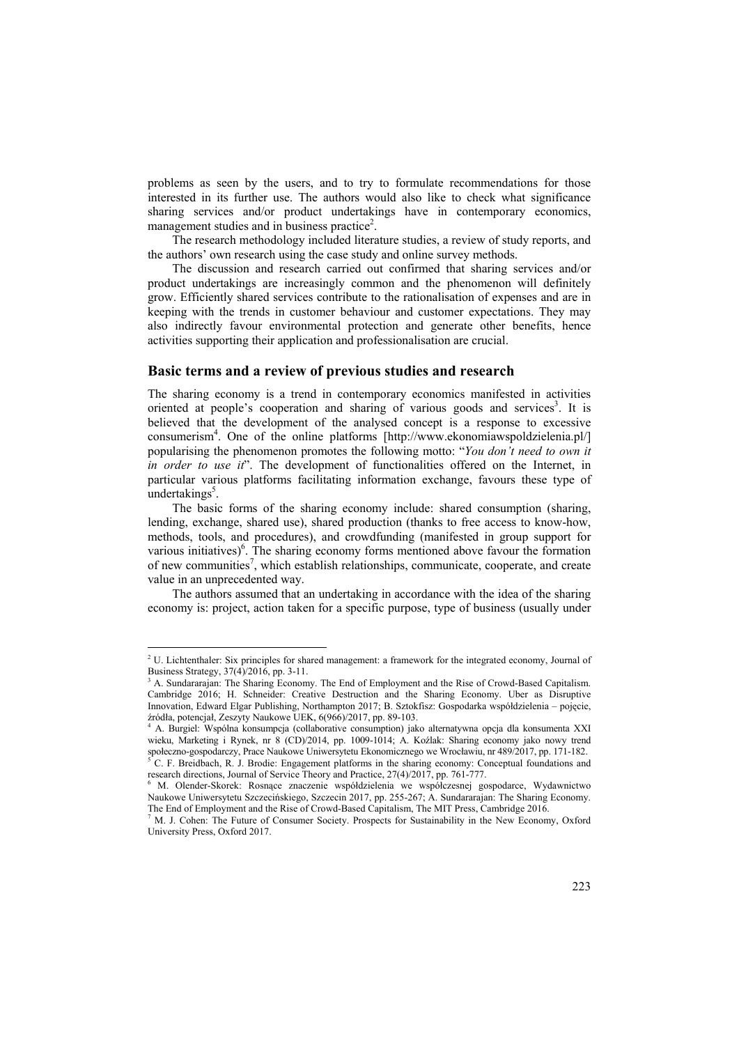problems as seen by the users, and to try to formulate recommendations for those interested in its further use. The authors would also like to check what significance sharing services and/or product undertakings have in contemporary economics, management studies and in business practice<sup>2</sup>.

The research methodology included literature studies, a review of study reports, and the authors' own research using the case study and online survey methods.

The discussion and research carried out confirmed that sharing services and/or product undertakings are increasingly common and the phenomenon will definitely grow. Efficiently shared services contribute to the rationalisation of expenses and are in keeping with the trends in customer behaviour and customer expectations. They may also indirectly favour environmental protection and generate other benefits, hence activities supporting their application and professionalisation are crucial.

#### **Basic terms and a review of previous studies and research**

The sharing economy is a trend in contemporary economics manifested in activities oriented at people's cooperation and sharing of various goods and services<sup>3</sup>. It is believed that the development of the analysed concept is a response to excessive consumerism4 . One of the online platforms [http://www.ekonomiawspoldzielenia.pl/] popularising the phenomenon promotes the following motto: "*You don't need to own it in order to use it*". The development of functionalities offered on the Internet, in particular various platforms facilitating information exchange, favours these type of undertakings<sup>5</sup>.

The basic forms of the sharing economy include: shared consumption (sharing, lending, exchange, shared use), shared production (thanks to free access to know-how, methods, tools, and procedures), and crowdfunding (manifested in group support for various initiatives)<sup>6</sup>. The sharing economy forms mentioned above favour the formation of new communities<sup>7</sup>, which establish relationships, communicate, cooperate, and create value in an unprecedented way.

The authors assumed that an undertaking in accordance with the idea of the sharing economy is: project, action taken for a specific purpose, type of business (usually under

 $\overline{a}$ 

<sup>&</sup>lt;sup>2</sup> U. Lichtenthaler: Six principles for shared management: a framework for the integrated economy, Journal of Business Strategy, 37(4)/2016, pp. 3-11.

<sup>3</sup> A. Sundararajan: The Sharing Economy. The End of Employment and the Rise of Crowd-Based Capitalism. Cambridge 2016; H. Schneider: Creative Destruction and the Sharing Economy. Uber as Disruptive Innovation, Edward Elgar Publishing, Northampton 2017; B. Sztokfisz: Gospodarka współdzielenia – pojęcie, <sup>ź</sup>ródła, potencjał, Zeszyty Naukowe UEK, 6(966)/2017, pp. 89-103. 4

A. Burgiel: Wspólna konsumpcja (collaborative consumption) jako alternatywna opcja dla konsumenta XXI wieku, Marketing i Rynek, nr 8 (CD)/2014, pp. 1009-1014; A. Koźlak: Sharing economy jako nowy trend społeczno-gospodarczy, Prace Naukowe Uniwersytetu Ekonomicznego we Wrocławiu, nr 489/2017, pp. 171-182. C. F. Breidbach, R. J. Brodie: Engagement platforms in the sharing economy: Conceptual foundations and research directions, Journal of Service Theory and Practice, 27(4)/2017, pp. 761-777.

M. Olender-Skorek: Rosnące znaczenie współdzielenia we współczesnej gospodarce, Wydawnictwo Naukowe Uniwersytetu Szczecińskiego, Szczecin 2017, pp. 255-267; A. Sundararajan: The Sharing Economy. The End of Employment and the Rise of Crowd-Based Capitalism, The MIT Press, Cambridge 2016.

<sup>&</sup>lt;sup>7</sup> M. J. Cohen: The Future of Consumer Society. Prospects for Sustainability in the New Economy, Oxford University Press, Oxford 2017.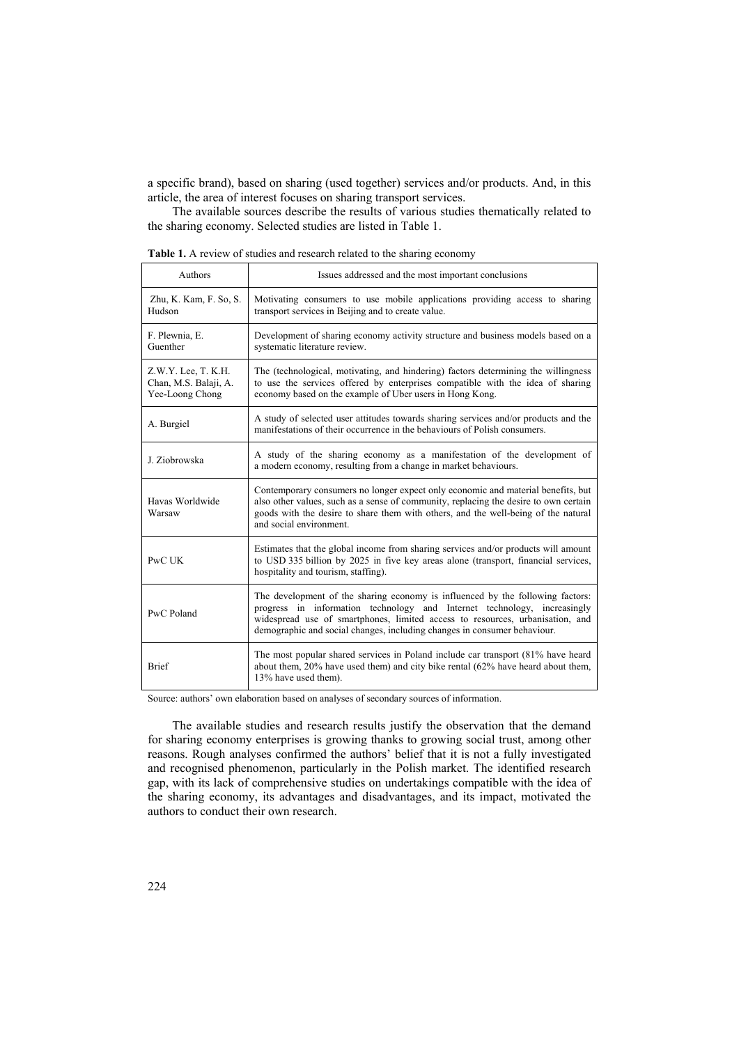a specific brand), based on sharing (used together) services and/or products. And, in this article, the area of interest focuses on sharing transport services.

The available sources describe the results of various studies thematically related to the sharing economy. Selected studies are listed in Table 1.

| Table 1. A review of studies and research related to the sharing economy |  |  |
|--------------------------------------------------------------------------|--|--|
|--------------------------------------------------------------------------|--|--|

| Authors                                                         | Issues addressed and the most important conclusions                                                                                                                                                                                                                                                                     |
|-----------------------------------------------------------------|-------------------------------------------------------------------------------------------------------------------------------------------------------------------------------------------------------------------------------------------------------------------------------------------------------------------------|
| Zhu, K. Kam, F. So, S.<br>Hudson                                | Motivating consumers to use mobile applications providing access to sharing<br>transport services in Beijing and to create value.                                                                                                                                                                                       |
| F. Plewnia, E.<br>Guenther                                      | Development of sharing economy activity structure and business models based on a<br>systematic literature review.                                                                                                                                                                                                       |
| Z.W.Y. Lee, T. K.H.<br>Chan, M.S. Balaji, A.<br>Yee-Loong Chong | The (technological, motivating, and hindering) factors determining the willingness<br>to use the services offered by enterprises compatible with the idea of sharing<br>economy based on the example of Uber users in Hong Kong.                                                                                        |
| A. Burgiel                                                      | A study of selected user attitudes towards sharing services and/or products and the<br>manifestations of their occurrence in the behaviours of Polish consumers.                                                                                                                                                        |
| J. Ziobrowska                                                   | A study of the sharing economy as a manifestation of the development of<br>a modern economy, resulting from a change in market behaviours.                                                                                                                                                                              |
| Havas Worldwide<br>Warsaw                                       | Contemporary consumers no longer expect only economic and material benefits, but<br>also other values, such as a sense of community, replacing the desire to own certain<br>goods with the desire to share them with others, and the well-being of the natural<br>and social environment.                               |
| PwC UK                                                          | Estimates that the global income from sharing services and/or products will amount<br>to USD 335 billion by 2025 in five key areas alone (transport, financial services,<br>hospitality and tourism, staffing).                                                                                                         |
| PwC Poland                                                      | The development of the sharing economy is influenced by the following factors:<br>progress in information technology and Internet technology, increasingly<br>widespread use of smartphones, limited access to resources, urbanisation, and<br>demographic and social changes, including changes in consumer behaviour. |
| <b>Brief</b>                                                    | The most popular shared services in Poland include car transport (81% have heard<br>about them, 20% have used them) and city bike rental (62% have heard about them,<br>13% have used them).                                                                                                                            |

Source: authors' own elaboration based on analyses of secondary sources of information.

The available studies and research results justify the observation that the demand for sharing economy enterprises is growing thanks to growing social trust, among other reasons. Rough analyses confirmed the authors' belief that it is not a fully investigated and recognised phenomenon, particularly in the Polish market. The identified research gap, with its lack of comprehensive studies on undertakings compatible with the idea of the sharing economy, its advantages and disadvantages, and its impact, motivated the authors to conduct their own research.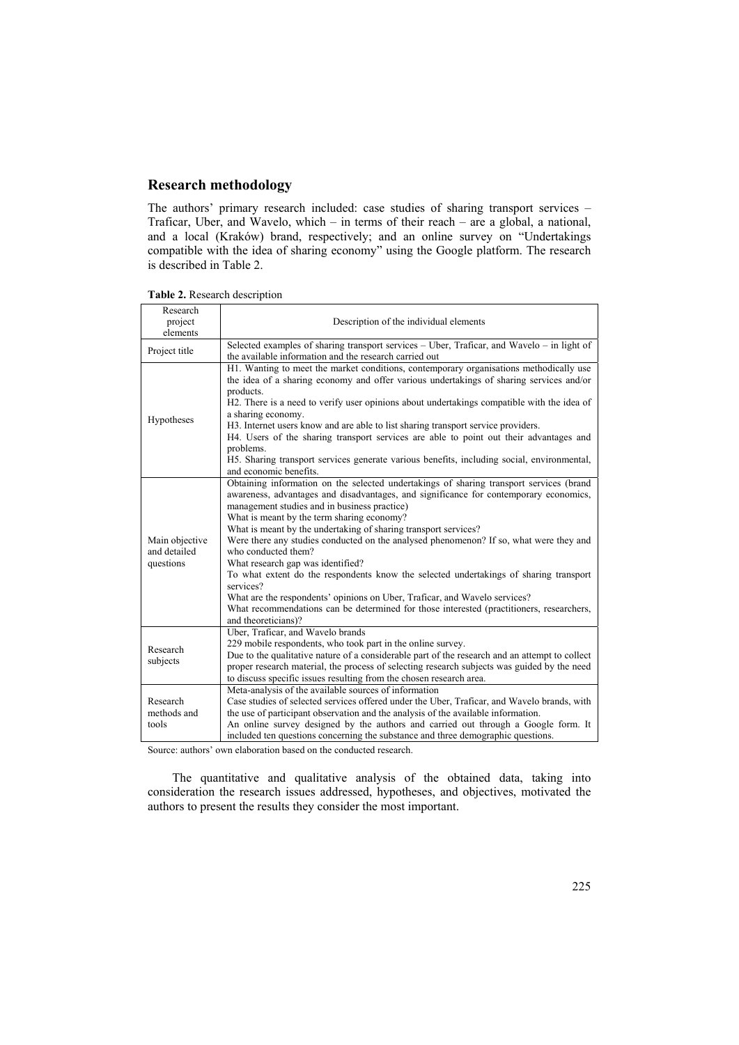# **Research methodology**

The authors' primary research included: case studies of sharing transport services – Traficar, Uber, and Wavelo, which – in terms of their reach – are a global, a national, and a local (Kraków) brand, respectively; and an online survey on "Undertakings compatible with the idea of sharing economy" using the Google platform. The research is described in Table 2.

| Research<br>project                         | Description of the individual elements                                                                                                                                                                                                                                                                                                                                                                                                                                                                                                                                                                                                                                                                                                                                                                         |
|---------------------------------------------|----------------------------------------------------------------------------------------------------------------------------------------------------------------------------------------------------------------------------------------------------------------------------------------------------------------------------------------------------------------------------------------------------------------------------------------------------------------------------------------------------------------------------------------------------------------------------------------------------------------------------------------------------------------------------------------------------------------------------------------------------------------------------------------------------------------|
| elements                                    |                                                                                                                                                                                                                                                                                                                                                                                                                                                                                                                                                                                                                                                                                                                                                                                                                |
| Project title                               | Selected examples of sharing transport services - Uber, Traficar, and Wavelo - in light of<br>the available information and the research carried out                                                                                                                                                                                                                                                                                                                                                                                                                                                                                                                                                                                                                                                           |
| Hypotheses                                  | H1. Wanting to meet the market conditions, contemporary organisations methodically use<br>the idea of a sharing economy and offer various undertakings of sharing services and/or<br>products.<br>H2. There is a need to verify user opinions about undertakings compatible with the idea of<br>a sharing economy.<br>H3. Internet users know and are able to list sharing transport service providers.<br>H4. Users of the sharing transport services are able to point out their advantages and<br>problems.<br>H5. Sharing transport services generate various benefits, including social, environmental,<br>and economic benefits.                                                                                                                                                                         |
| Main objective<br>and detailed<br>questions | Obtaining information on the selected undertakings of sharing transport services (brand<br>awareness, advantages and disadvantages, and significance for contemporary economics,<br>management studies and in business practice)<br>What is meant by the term sharing economy?<br>What is meant by the undertaking of sharing transport services?<br>Were there any studies conducted on the analysed phenomenon? If so, what were they and<br>who conducted them?<br>What research gap was identified?<br>To what extent do the respondents know the selected undertakings of sharing transport<br>services?<br>What are the respondents' opinions on Uber, Traficar, and Wavelo services?<br>What recommendations can be determined for those interested (practitioners, researchers,<br>and theoreticians)? |
| Research<br>subjects                        | Uber, Traficar, and Wavelo brands<br>229 mobile respondents, who took part in the online survey.<br>Due to the qualitative nature of a considerable part of the research and an attempt to collect<br>proper research material, the process of selecting research subjects was guided by the need<br>to discuss specific issues resulting from the chosen research area.                                                                                                                                                                                                                                                                                                                                                                                                                                       |
| Research<br>methods and<br>tools            | Meta-analysis of the available sources of information<br>Case studies of selected services offered under the Uber, Traficar, and Wavelo brands, with<br>the use of participant observation and the analysis of the available information.<br>An online survey designed by the authors and carried out through a Google form. It<br>included ten questions concerning the substance and three demographic questions.                                                                                                                                                                                                                                                                                                                                                                                            |

|  |  |  | Table 2. Research description |
|--|--|--|-------------------------------|
|--|--|--|-------------------------------|

Source: authors' own elaboration based on the conducted research.

The quantitative and qualitative analysis of the obtained data, taking into consideration the research issues addressed, hypotheses, and objectives, motivated the authors to present the results they consider the most important.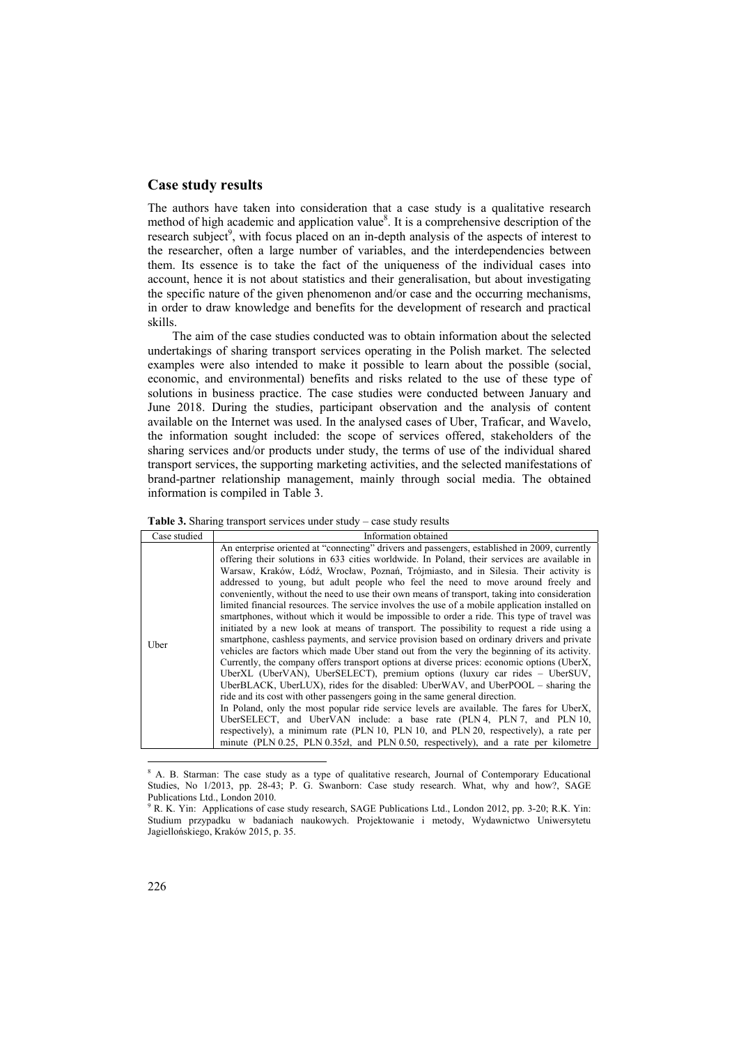### **Case study results**

The authors have taken into consideration that a case study is a qualitative research method of high academic and application value<sup>8</sup>. It is a comprehensive description of the research subject<sup>9</sup>, with focus placed on an in-depth analysis of the aspects of interest to the researcher, often a large number of variables, and the interdependencies between them. Its essence is to take the fact of the uniqueness of the individual cases into account, hence it is not about statistics and their generalisation, but about investigating the specific nature of the given phenomenon and/or case and the occurring mechanisms, in order to draw knowledge and benefits for the development of research and practical skills.

The aim of the case studies conducted was to obtain information about the selected undertakings of sharing transport services operating in the Polish market. The selected examples were also intended to make it possible to learn about the possible (social, economic, and environmental) benefits and risks related to the use of these type of solutions in business practice. The case studies were conducted between January and June 2018. During the studies, participant observation and the analysis of content available on the Internet was used. In the analysed cases of Uber, Traficar, and Wavelo, the information sought included: the scope of services offered, stakeholders of the sharing services and/or products under study, the terms of use of the individual shared transport services, the supporting marketing activities, and the selected manifestations of brand-partner relationship management, mainly through social media. The obtained information is compiled in Table 3.

|  | <b>Table 3.</b> Sharing transport services under study $-\text{case}$ study results |
|--|-------------------------------------------------------------------------------------|
|  |                                                                                     |

| Case studied | Information obtained                                                                                                                                                                                                                                                                                                                                                                                                                                                                                                                                                                                                                                                                                                                                                                                                                                                                                                                                                                                                                                                                                                                                                                                                                                                                                                                                                                                                                                                                                                                                                                                                                                                        |  |  |  |
|--------------|-----------------------------------------------------------------------------------------------------------------------------------------------------------------------------------------------------------------------------------------------------------------------------------------------------------------------------------------------------------------------------------------------------------------------------------------------------------------------------------------------------------------------------------------------------------------------------------------------------------------------------------------------------------------------------------------------------------------------------------------------------------------------------------------------------------------------------------------------------------------------------------------------------------------------------------------------------------------------------------------------------------------------------------------------------------------------------------------------------------------------------------------------------------------------------------------------------------------------------------------------------------------------------------------------------------------------------------------------------------------------------------------------------------------------------------------------------------------------------------------------------------------------------------------------------------------------------------------------------------------------------------------------------------------------------|--|--|--|
| Uber         | An enterprise oriented at "connecting" drivers and passengers, established in 2009, currently<br>offering their solutions in 633 cities worldwide. In Poland, their services are available in<br>Warsaw, Kraków, Łódź, Wrocław, Poznań, Trójmiasto, and in Silesia. Their activity is<br>addressed to young, but adult people who feel the need to move around freely and<br>conveniently, without the need to use their own means of transport, taking into consideration<br>limited financial resources. The service involves the use of a mobile application installed on<br>smartphones, without which it would be impossible to order a ride. This type of travel was<br>initiated by a new look at means of transport. The possibility to request a ride using a<br>smartphone, cashless payments, and service provision based on ordinary drivers and private<br>vehicles are factors which made Uber stand out from the very the beginning of its activity.<br>Currently, the company offers transport options at diverse prices: economic options (UberX,<br>UberXL (UberVAN), UberSELECT), premium options (luxury car rides - UberSUV,<br>UberBLACK, UberLUX), rides for the disabled: UberWAV, and UberPOOL – sharing the<br>ride and its cost with other passengers going in the same general direction.<br>In Poland, only the most popular ride service levels are available. The fares for UberX,<br>UberSELECT, and UberVAN include: a base rate (PLN 4, PLN 7, and PLN 10,<br>respectively), a minimum rate (PLN 10, PLN 10, and PLN 20, respectively), a rate per<br>minute (PLN 0.25, PLN 0.35zł, and PLN 0.50, respectively), and a rate per kilometre |  |  |  |

<sup>&</sup>lt;sup>8</sup> A. B. Starman: The case study as a type of qualitative research, Journal of Contemporary Educational Studies, No 1/2013, pp. 28-43; P. G. Swanborn: Case study research. What, why and how?, SAGE Publications Ltd., London 2010.

<sup>&</sup>lt;sup>9</sup> R. K. Yin: Applications of case study research, SAGE Publications Ltd., London 2012, pp. 3-20; R.K. Yin: Studium przypadku w badaniach naukowych. Projektowanie i metody, Wydawnictwo Uniwersytetu Jagiellońskiego, Kraków 2015, p. 35.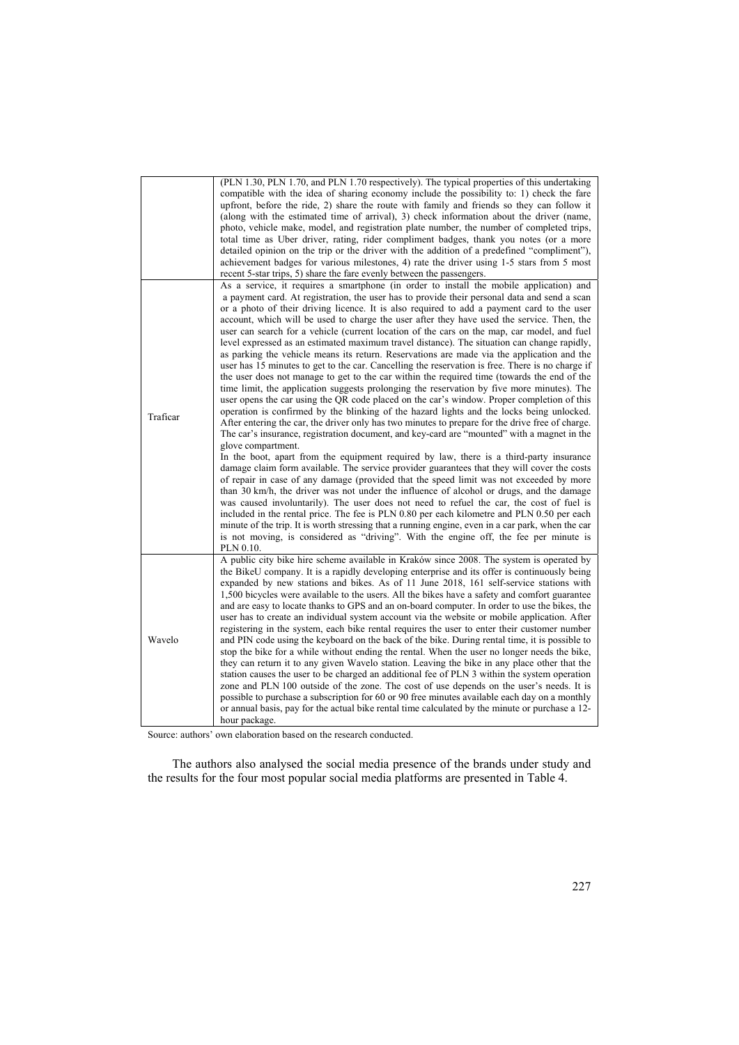|          | (PLN 1.30, PLN 1.70, and PLN 1.70 respectively). The typical properties of this undertaking<br>compatible with the idea of sharing economy include the possibility to: 1) check the fare<br>upfront, before the ride, 2) share the route with family and friends so they can follow it<br>(along with the estimated time of arrival), 3) check information about the driver (name,<br>photo, vehicle make, model, and registration plate number, the number of completed trips,<br>total time as Uber driver, rating, rider compliment badges, thank you notes (or a more<br>detailed opinion on the trip or the driver with the addition of a predefined "compliment"),<br>achievement badges for various milestones, 4) rate the driver using 1-5 stars from 5 most<br>recent 5-star trips, 5) share the fare evenly between the passengers.                                                                                                                                                                                                                                                                                                                                                                                                                                                                                                                                                                                                                                                                                                                                                                                                                                                                                                                                                                                                                                                                                                                                                                                                                                                                                                                                             |
|----------|--------------------------------------------------------------------------------------------------------------------------------------------------------------------------------------------------------------------------------------------------------------------------------------------------------------------------------------------------------------------------------------------------------------------------------------------------------------------------------------------------------------------------------------------------------------------------------------------------------------------------------------------------------------------------------------------------------------------------------------------------------------------------------------------------------------------------------------------------------------------------------------------------------------------------------------------------------------------------------------------------------------------------------------------------------------------------------------------------------------------------------------------------------------------------------------------------------------------------------------------------------------------------------------------------------------------------------------------------------------------------------------------------------------------------------------------------------------------------------------------------------------------------------------------------------------------------------------------------------------------------------------------------------------------------------------------------------------------------------------------------------------------------------------------------------------------------------------------------------------------------------------------------------------------------------------------------------------------------------------------------------------------------------------------------------------------------------------------------------------------------------------------------------------------------------------------|
| Traficar | As a service, it requires a smartphone (in order to install the mobile application) and<br>a payment card. At registration, the user has to provide their personal data and send a scan<br>or a photo of their driving licence. It is also required to add a payment card to the user<br>account, which will be used to charge the user after they have used the service. Then, the<br>user can search for a vehicle (current location of the cars on the map, car model, and fuel<br>level expressed as an estimated maximum travel distance). The situation can change rapidly,<br>as parking the vehicle means its return. Reservations are made via the application and the<br>user has 15 minutes to get to the car. Cancelling the reservation is free. There is no charge if<br>the user does not manage to get to the car within the required time (towards the end of the<br>time limit, the application suggests prolonging the reservation by five more minutes). The<br>user opens the car using the QR code placed on the car's window. Proper completion of this<br>operation is confirmed by the blinking of the hazard lights and the locks being unlocked.<br>After entering the car, the driver only has two minutes to prepare for the drive free of charge.<br>The car's insurance, registration document, and key-card are "mounted" with a magnet in the<br>glove compartment.<br>In the boot, apart from the equipment required by law, there is a third-party insurance<br>damage claim form available. The service provider guarantees that they will cover the costs<br>of repair in case of any damage (provided that the speed limit was not exceeded by more<br>than 30 km/h, the driver was not under the influence of alcohol or drugs, and the damage<br>was caused involuntarily). The user does not need to refuel the car, the cost of fuel is<br>included in the rental price. The fee is PLN 0.80 per each kilometre and PLN 0.50 per each<br>minute of the trip. It is worth stressing that a running engine, even in a car park, when the car<br>is not moving, is considered as "driving". With the engine off, the fee per minute is<br>PLN 0.10. |
| Wavelo   | A public city bike hire scheme available in Kraków since 2008. The system is operated by<br>the BikeU company. It is a rapidly developing enterprise and its offer is continuously being<br>expanded by new stations and bikes. As of 11 June 2018, 161 self-service stations with<br>1,500 bicycles were available to the users. All the bikes have a safety and comfort guarantee<br>and are easy to locate thanks to GPS and an on-board computer. In order to use the bikes, the<br>user has to create an individual system account via the website or mobile application. After<br>registering in the system, each bike rental requires the user to enter their customer number<br>and PIN code using the keyboard on the back of the bike. During rental time, it is possible to<br>stop the bike for a while without ending the rental. When the user no longer needs the bike,<br>they can return it to any given Wavelo station. Leaving the bike in any place other that the<br>station causes the user to be charged an additional fee of PLN 3 within the system operation<br>zone and PLN 100 outside of the zone. The cost of use depends on the user's needs. It is<br>possible to purchase a subscription for 60 or 90 free minutes available each day on a monthly<br>or annual basis, pay for the actual bike rental time calculated by the minute or purchase a 12-<br>hour package.                                                                                                                                                                                                                                                                                                                                                                                                                                                                                                                                                                                                                                                                                                                                                                                    |

Source: authors' own elaboration based on the research conducted.

The authors also analysed the social media presence of the brands under study and the results for the four most popular social media platforms are presented in Table 4.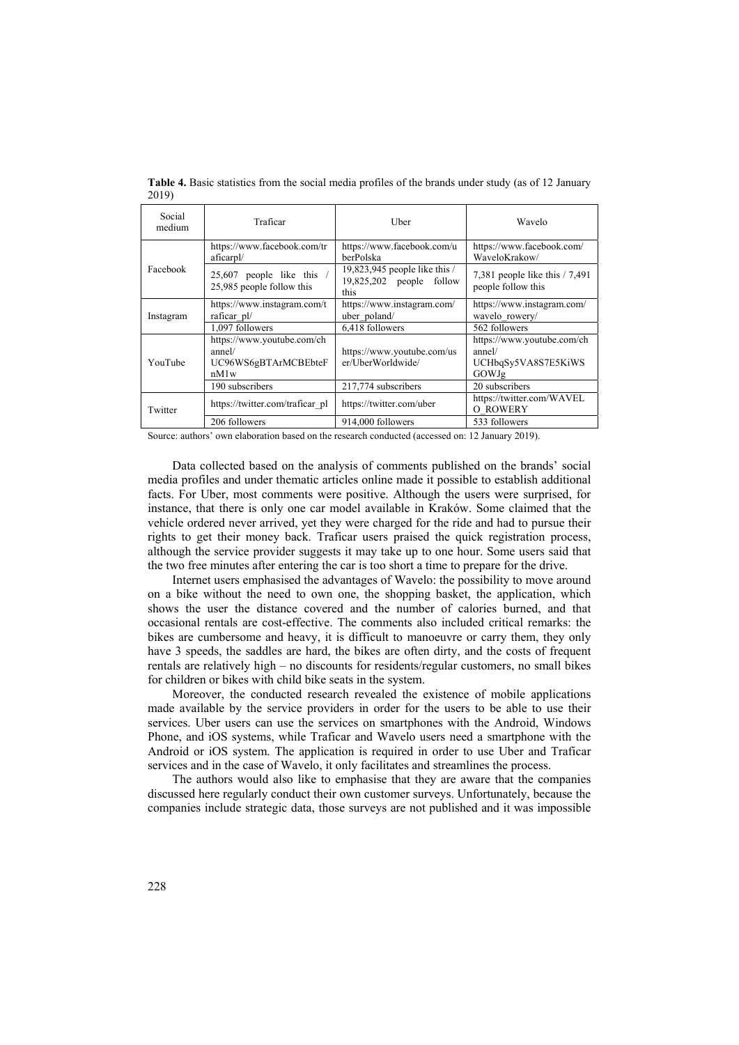| Social<br>medium | Traficar                                                                   | Uber                                                                | Wavelo                                                               |
|------------------|----------------------------------------------------------------------------|---------------------------------------------------------------------|----------------------------------------------------------------------|
| Facebook         | https://www.facebook.com/tr<br>aficarpl/                                   | https://www.facebook.com/u<br>berPolska                             | https://www.facebook.com/<br>WaveloKrakow/                           |
|                  | 25,607 people like this /<br>25,985 people follow this                     | 19,823,945 people like this /<br>$19,825,202$ people follow<br>this | 7,381 people like this $/ 7,491$<br>people follow this               |
| Instagram        | https://www.instagram.com/t<br>raficar pl/                                 | https://www.instagram.com/<br>uber poland/                          | https://www.instagram.com/<br>wavelo rowery/                         |
|                  | 1,097 followers                                                            | 6,418 followers                                                     | 562 followers                                                        |
| YouTube          | https://www.youtube.com/ch<br>annel/<br>UC96WS6gBTArMCBEbteF<br>$n$ M $1w$ | https://www.youtube.com/us<br>er/UherWorldwide/                     | https://www.youtube.com/ch<br>annel/<br>UCHbqSy5VA8S7E5KiWS<br>GOWJg |
|                  | 190 subscribers                                                            | 217,774 subscribers                                                 | 20 subscribers                                                       |
| Twitter          | https://twitter.com/traficar_pl                                            | https://twitter.com/uber                                            | https://twitter.com/WAVEL<br>O ROWERY                                |
|                  | 206 followers                                                              | 914,000 followers                                                   | 533 followers                                                        |

Table 4. Basic statistics from the social media profiles of the brands under study (as of 12 January 2019)

Source: authors' own elaboration based on the research conducted (accessed on: 12 January 2019).

Data collected based on the analysis of comments published on the brands' social media profiles and under thematic articles online made it possible to establish additional facts. For Uber, most comments were positive. Although the users were surprised, for instance, that there is only one car model available in Kraków. Some claimed that the vehicle ordered never arrived, yet they were charged for the ride and had to pursue their rights to get their money back. Traficar users praised the quick registration process, although the service provider suggests it may take up to one hour. Some users said that the two free minutes after entering the car is too short a time to prepare for the drive.

Internet users emphasised the advantages of Wavelo: the possibility to move around on a bike without the need to own one, the shopping basket, the application, which shows the user the distance covered and the number of calories burned, and that occasional rentals are cost-effective. The comments also included critical remarks: the bikes are cumbersome and heavy, it is difficult to manoeuvre or carry them, they only have 3 speeds, the saddles are hard, the bikes are often dirty, and the costs of frequent rentals are relatively high – no discounts for residents/regular customers, no small bikes for children or bikes with child bike seats in the system.

Moreover, the conducted research revealed the existence of mobile applications made available by the service providers in order for the users to be able to use their services. Uber users can use the services on smartphones with the Android, Windows Phone, and iOS systems, while Traficar and Wavelo users need a smartphone with the Android or iOS system. The application is required in order to use Uber and Traficar services and in the case of Wavelo, it only facilitates and streamlines the process.

The authors would also like to emphasise that they are aware that the companies discussed here regularly conduct their own customer surveys. Unfortunately, because the companies include strategic data, those surveys are not published and it was impossible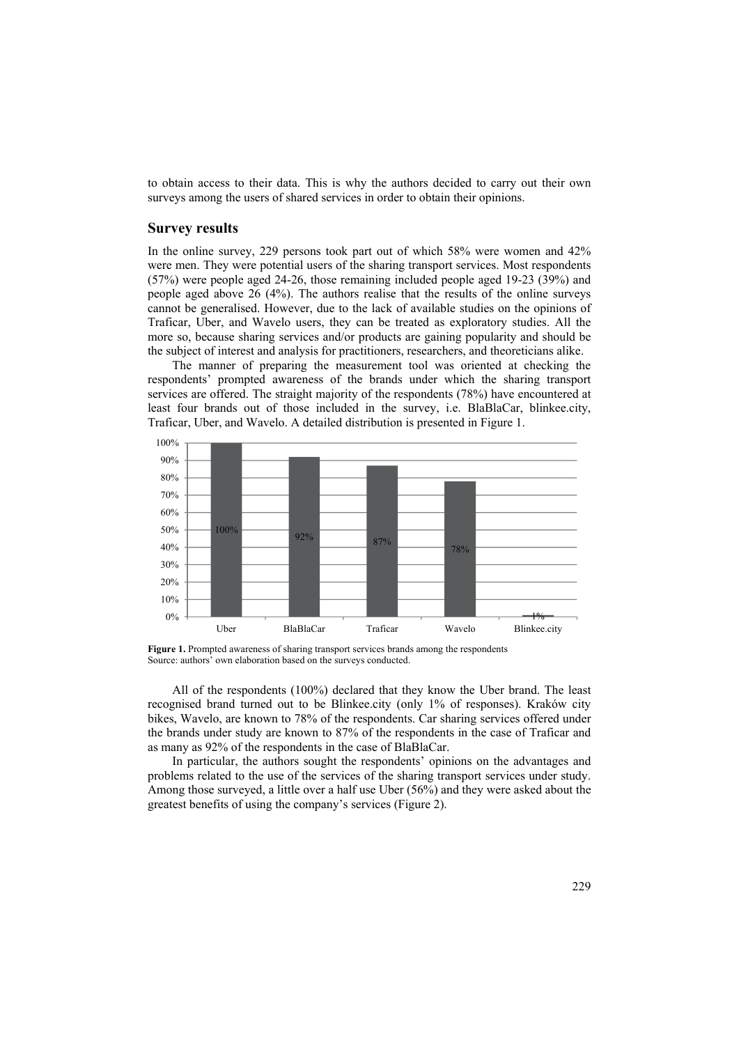to obtain access to their data. This is why the authors decided to carry out their own surveys among the users of shared services in order to obtain their opinions.

#### **Survey results**

In the online survey, 229 persons took part out of which 58% were women and 42% were men. They were potential users of the sharing transport services. Most respondents (57%) were people aged 24-26, those remaining included people aged 19-23 (39%) and people aged above 26 (4%). The authors realise that the results of the online surveys cannot be generalised. However, due to the lack of available studies on the opinions of Traficar, Uber, and Wavelo users, they can be treated as exploratory studies. All the more so, because sharing services and/or products are gaining popularity and should be the subject of interest and analysis for practitioners, researchers, and theoreticians alike.

The manner of preparing the measurement tool was oriented at checking the respondents' prompted awareness of the brands under which the sharing transport services are offered. The straight majority of the respondents (78%) have encountered at least four brands out of those included in the survey, i.e. BlaBlaCar, blinkee.city, Traficar, Uber, and Wavelo. A detailed distribution is presented in Figure 1.



Figure 1. Prompted awareness of sharing transport services brands among the respondents Source: authors' own elaboration based on the surveys conducted.

All of the respondents (100%) declared that they know the Uber brand. The least recognised brand turned out to be Blinkee.city (only 1% of responses). Kraków city bikes, Wavelo, are known to 78% of the respondents. Car sharing services offered under the brands under study are known to 87% of the respondents in the case of Traficar and as many as 92% of the respondents in the case of BlaBlaCar.

In particular, the authors sought the respondents' opinions on the advantages and problems related to the use of the services of the sharing transport services under study. Among those surveyed, a little over a half use Uber (56%) and they were asked about the greatest benefits of using the company's services (Figure 2).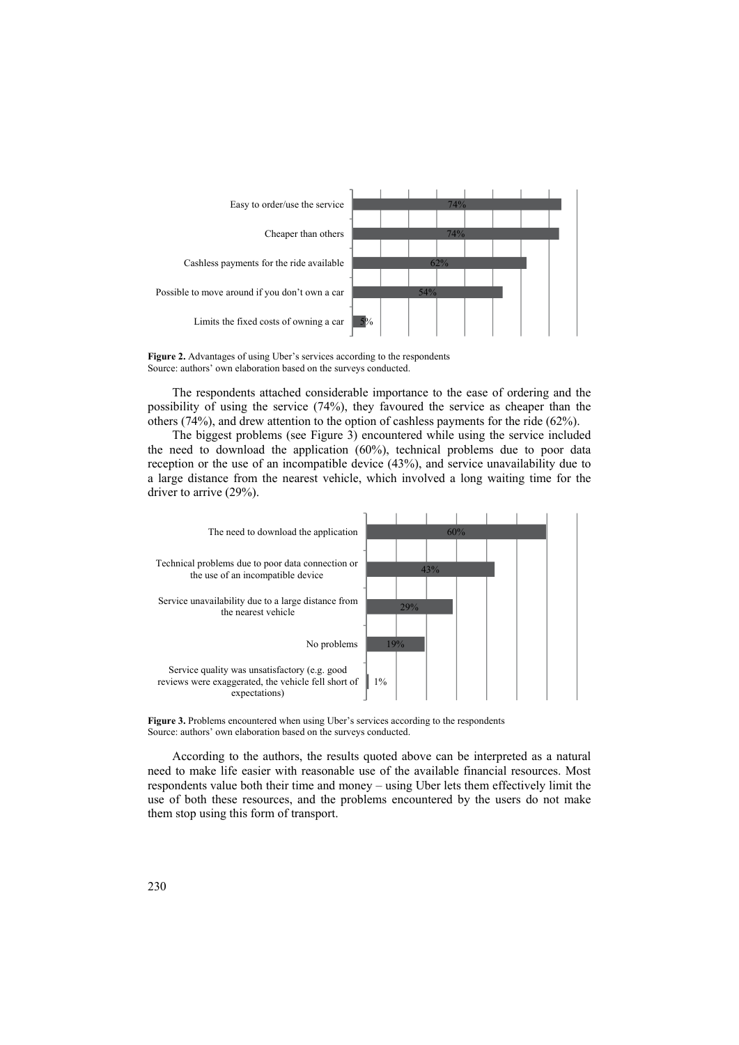

**Figure 2.** Advantages of using Uber's services according to the respondents Source: authors' own elaboration based on the surveys conducted.

The respondents attached considerable importance to the ease of ordering and the possibility of using the service (74%), they favoured the service as cheaper than the others (74%), and drew attention to the option of cashless payments for the ride (62%).

The biggest problems (see Figure 3) encountered while using the service included the need to download the application (60%), technical problems due to poor data reception or the use of an incompatible device (43%), and service unavailability due to a large distance from the nearest vehicle, which involved a long waiting time for the driver to arrive (29%).



Figure 3. Problems encountered when using Uber's services according to the respondents Source: authors' own elaboration based on the surveys conducted.

According to the authors, the results quoted above can be interpreted as a natural need to make life easier with reasonable use of the available financial resources. Most respondents value both their time and money – using Uber lets them effectively limit the use of both these resources, and the problems encountered by the users do not make them stop using this form of transport.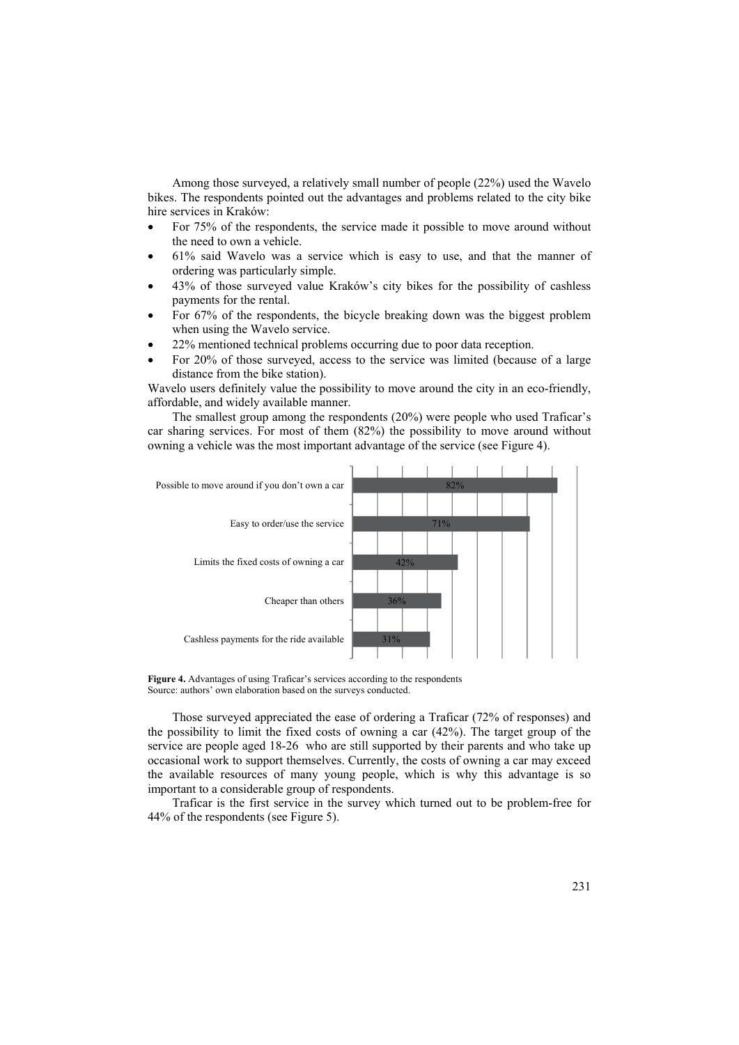Among those surveyed, a relatively small number of people (22%) used the Wavelo bikes. The respondents pointed out the advantages and problems related to the city bike hire services in Kraków:

- For 75% of the respondents, the service made it possible to move around without the need to own a vehicle.
- 61% said Wavelo was a service which is easy to use, and that the manner of ordering was particularly simple.
- 43% of those surveyed value Kraków's city bikes for the possibility of cashless payments for the rental.
- For 67% of the respondents, the bicycle breaking down was the biggest problem when using the Wavelo service.
- 22% mentioned technical problems occurring due to poor data reception.
- For 20% of those surveyed, access to the service was limited (because of a large distance from the bike station).

Wavelo users definitely value the possibility to move around the city in an eco-friendly, affordable, and widely available manner.

The smallest group among the respondents (20%) were people who used Traficar's car sharing services. For most of them (82%) the possibility to move around without owning a vehicle was the most important advantage of the service (see Figure 4).



**Figure 4.** Advantages of using Traficar's services according to the respondents Source: authors' own elaboration based on the surveys conducted.

Those surveyed appreciated the ease of ordering a Traficar (72% of responses) and the possibility to limit the fixed costs of owning a car (42%). The target group of the service are people aged 18-26 who are still supported by their parents and who take up occasional work to support themselves. Currently, the costs of owning a car may exceed the available resources of many young people, which is why this advantage is so important to a considerable group of respondents.

Traficar is the first service in the survey which turned out to be problem-free for 44% of the respondents (see Figure 5).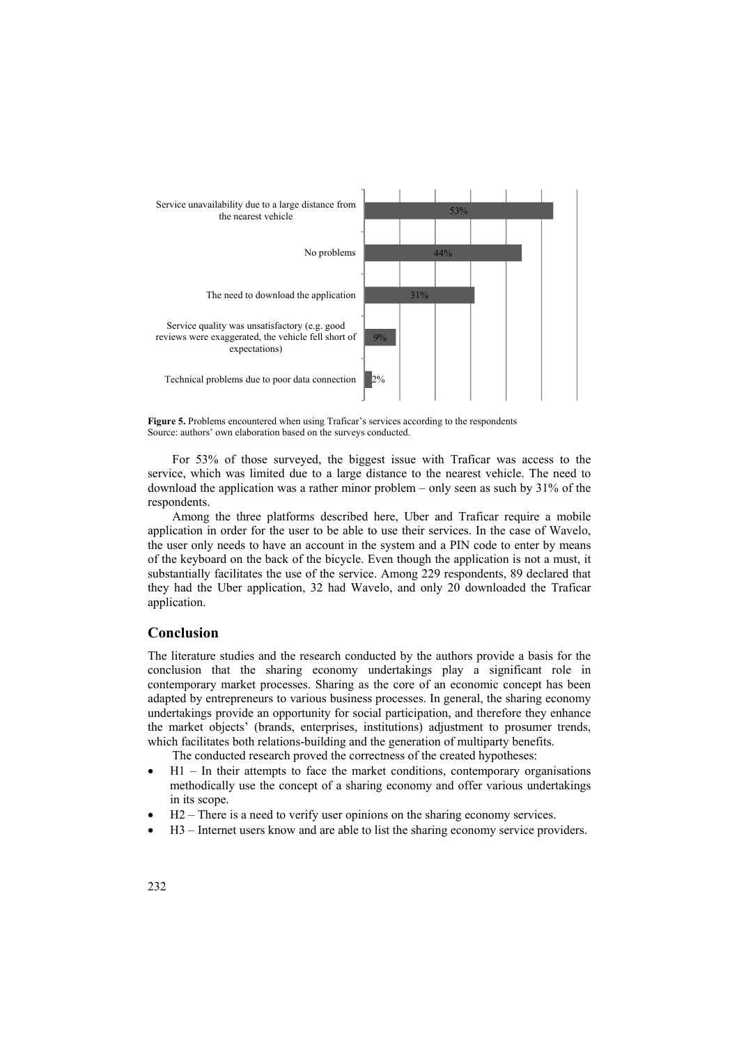



For 53% of those surveyed, the biggest issue with Traficar was access to the service, which was limited due to a large distance to the nearest vehicle. The need to download the application was a rather minor problem – only seen as such by 31% of the respondents.

Among the three platforms described here, Uber and Traficar require a mobile application in order for the user to be able to use their services. In the case of Wavelo, the user only needs to have an account in the system and a PIN code to enter by means of the keyboard on the back of the bicycle. Even though the application is not a must, it substantially facilitates the use of the service. Among 229 respondents, 89 declared that they had the Uber application, 32 had Wavelo, and only 20 downloaded the Traficar application.

#### **Conclusion**

The literature studies and the research conducted by the authors provide a basis for the conclusion that the sharing economy undertakings play a significant role in contemporary market processes. Sharing as the core of an economic concept has been adapted by entrepreneurs to various business processes. In general, the sharing economy undertakings provide an opportunity for social participation, and therefore they enhance the market objects' (brands, enterprises, institutions) adjustment to prosumer trends, which facilitates both relations-building and the generation of multiparty benefits.

The conducted research proved the correctness of the created hypotheses:

- $H1$  In their attempts to face the market conditions, contemporary organisations methodically use the concept of a sharing economy and offer various undertakings in its scope.
- H2 There is a need to verify user opinions on the sharing economy services.
- H3 Internet users know and are able to list the sharing economy service providers.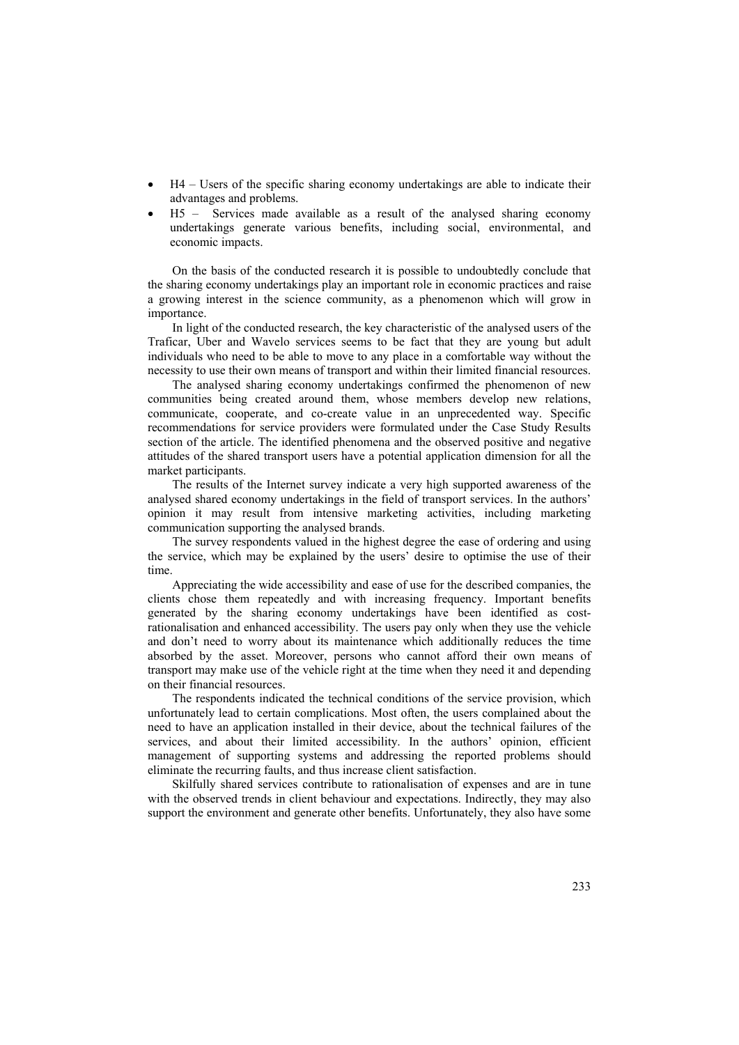- H4 Users of the specific sharing economy undertakings are able to indicate their advantages and problems.
- H5 Services made available as a result of the analysed sharing economy undertakings generate various benefits, including social, environmental, and economic impacts.

On the basis of the conducted research it is possible to undoubtedly conclude that the sharing economy undertakings play an important role in economic practices and raise a growing interest in the science community, as a phenomenon which will grow in importance.

In light of the conducted research, the key characteristic of the analysed users of the Traficar, Uber and Wavelo services seems to be fact that they are young but adult individuals who need to be able to move to any place in a comfortable way without the necessity to use their own means of transport and within their limited financial resources.

The analysed sharing economy undertakings confirmed the phenomenon of new communities being created around them, whose members develop new relations, communicate, cooperate, and co-create value in an unprecedented way. Specific recommendations for service providers were formulated under the Case Study Results section of the article. The identified phenomena and the observed positive and negative attitudes of the shared transport users have a potential application dimension for all the market participants.

The results of the Internet survey indicate a very high supported awareness of the analysed shared economy undertakings in the field of transport services. In the authors' opinion it may result from intensive marketing activities, including marketing communication supporting the analysed brands.

The survey respondents valued in the highest degree the ease of ordering and using the service, which may be explained by the users' desire to optimise the use of their time.

Appreciating the wide accessibility and ease of use for the described companies, the clients chose them repeatedly and with increasing frequency. Important benefits generated by the sharing economy undertakings have been identified as costrationalisation and enhanced accessibility. The users pay only when they use the vehicle and don't need to worry about its maintenance which additionally reduces the time absorbed by the asset. Moreover, persons who cannot afford their own means of transport may make use of the vehicle right at the time when they need it and depending on their financial resources.

The respondents indicated the technical conditions of the service provision, which unfortunately lead to certain complications. Most often, the users complained about the need to have an application installed in their device, about the technical failures of the services, and about their limited accessibility. In the authors' opinion, efficient management of supporting systems and addressing the reported problems should eliminate the recurring faults, and thus increase client satisfaction.

Skilfully shared services contribute to rationalisation of expenses and are in tune with the observed trends in client behaviour and expectations. Indirectly, they may also support the environment and generate other benefits. Unfortunately, they also have some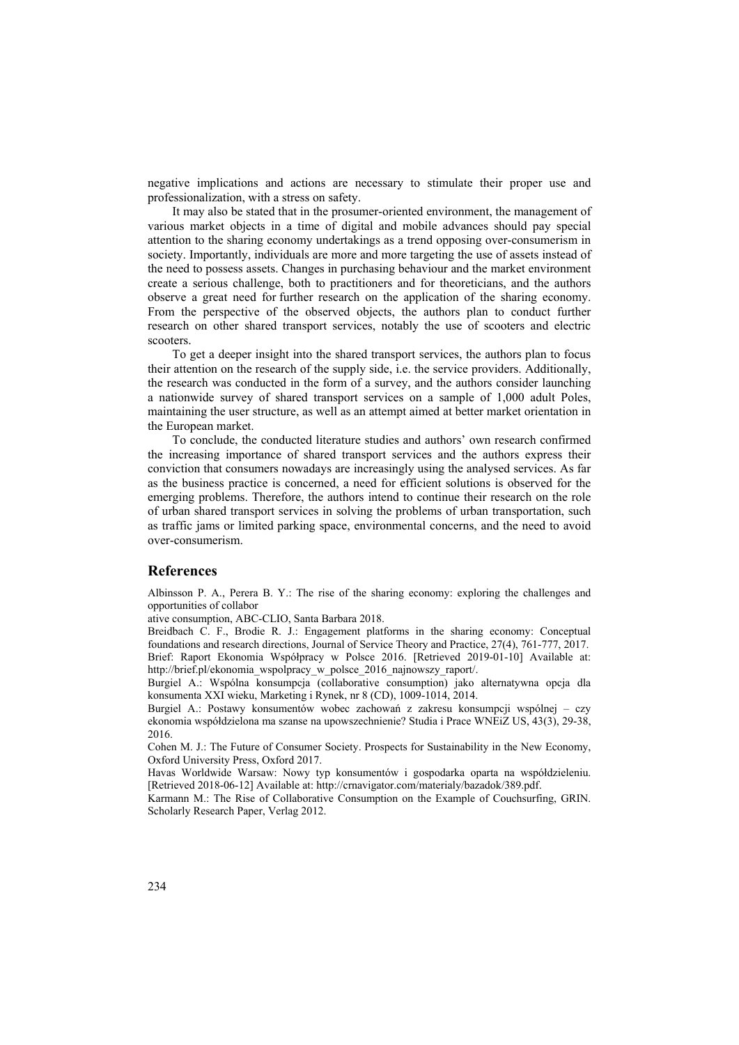negative implications and actions are necessary to stimulate their proper use and professionalization, with a stress on safety.

It may also be stated that in the prosumer-oriented environment, the management of various market objects in a time of digital and mobile advances should pay special attention to the sharing economy undertakings as a trend opposing over-consumerism in society. Importantly, individuals are more and more targeting the use of assets instead of the need to possess assets. Changes in purchasing behaviour and the market environment create a serious challenge, both to practitioners and for theoreticians, and the authors observe a great need for further research on the application of the sharing economy. From the perspective of the observed objects, the authors plan to conduct further research on other shared transport services, notably the use of scooters and electric scooters.

To get a deeper insight into the shared transport services, the authors plan to focus their attention on the research of the supply side, i.e. the service providers. Additionally, the research was conducted in the form of a survey, and the authors consider launching a nationwide survey of shared transport services on a sample of 1,000 adult Poles, maintaining the user structure, as well as an attempt aimed at better market orientation in the European market.

To conclude, the conducted literature studies and authors' own research confirmed the increasing importance of shared transport services and the authors express their conviction that consumers nowadays are increasingly using the analysed services. As far as the business practice is concerned, a need for efficient solutions is observed for the emerging problems. Therefore, the authors intend to continue their research on the role of urban shared transport services in solving the problems of urban transportation, such as traffic jams or limited parking space, environmental concerns, and the need to avoid over-consumerism.

#### **References**

Albinsson P. A., Perera B. Y.: The rise of the sharing economy: exploring the challenges and opportunities of collabor

ative consumption, ABC-CLIO, Santa Barbara 2018.

Breidbach C. F., Brodie R. J.: Engagement platforms in the sharing economy: Conceptual foundations and research directions, Journal of Service Theory and Practice, 27(4), 761-777, 2017. Brief: Raport Ekonomia Współpracy w Polsce 2016. [Retrieved 2019-01-10] Available at: http://brief.pl/ekonomia\_wspolpracy\_w\_polsce\_2016\_najnowszy\_raport/.

Burgiel A.: Wspólna konsumpcja (collaborative consumption) jako alternatywna opcja dla konsumenta XXI wieku, Marketing i Rynek, nr 8 (CD), 1009-1014, 2014.

Burgiel A.: Postawy konsumentów wobec zachowań z zakresu konsumpcji wspólnej – czy ekonomia współdzielona ma szanse na upowszechnienie? Studia i Prace WNEiZ US, 43(3), 29-38, 2016.

Cohen M. J.: The Future of Consumer Society. Prospects for Sustainability in the New Economy, Oxford University Press, Oxford 2017.

Havas Worldwide Warsaw: Nowy typ konsumentów i gospodarka oparta na współdzieleniu. [Retrieved 2018-06-12] Available at: http://crnavigator.com/materialy/bazadok/389.pdf.

Karmann M.: The Rise of Collaborative Consumption on the Example of Couchsurfing, GRIN. Scholarly Research Paper, Verlag 2012.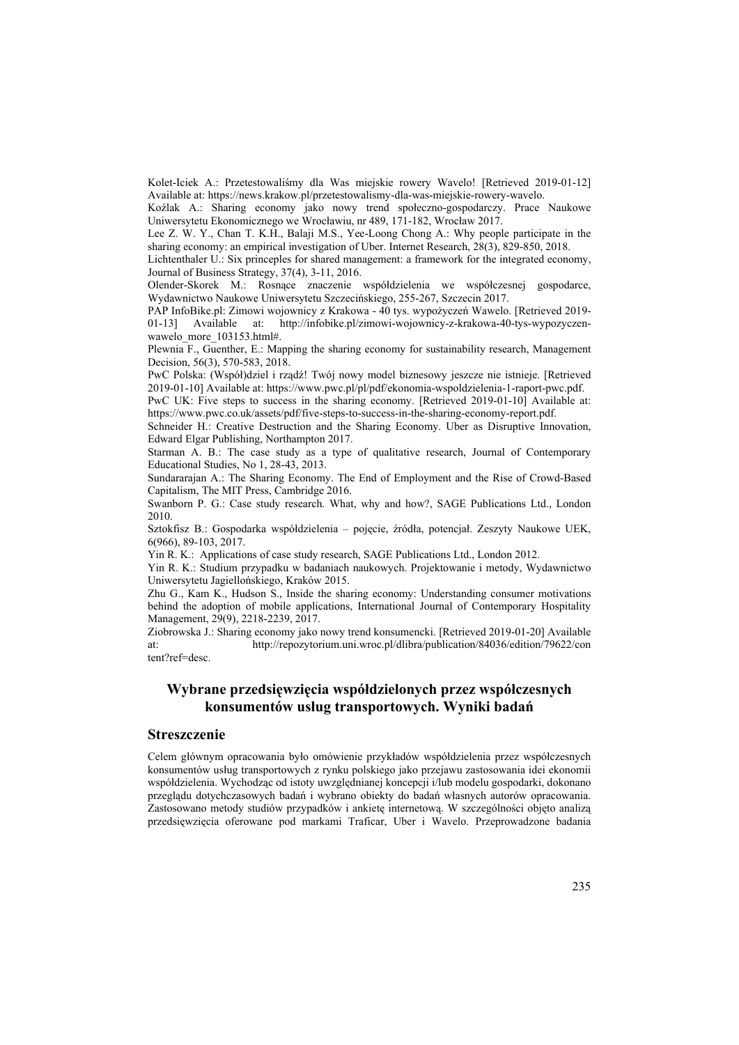Kolet-Iciek A.: Przetestowaliśmy dla Was miejskie rowery Wavelo! [Retrieved 2019-01-12] Available at: https://news.krakow.pl/przetestowalismy-dla-was-miejskie-rowery-wavelo.

Koźlak A.: Sharing economy jako nowy trend społeczno-gospodarczy. Prace Naukowe Uniwersytetu Ekonomicznego we Wrocławiu, nr 489, 171-182, Wrocław 2017.

Lee Z. W. Y., Chan T. K.H., Balaji M.S., Yee-Loong Chong A.: Why people participate in the sharing economy: an empirical investigation of Uber. Internet Research, 28(3), 829-850, 2018.

Lichtenthaler U.: Six princeples for shared management: a framework for the integrated economy, Journal of Business Strategy, 37(4), 3-11, 2016.

Olender-Skorek M.: Rosnące znaczenie współdzielenia we współczesnej gospodarce, Wydawnictwo Naukowe Uniwersytetu Szczecińskiego, 255-267, Szczecin 2017.

PAP InfoBike.pl: Zimowi wojownicy z Krakowa - 40 tys. wypożyczeń Wawelo. [Retrieved 2019- 01-13] Available at: http://infobike.pl/zimowi-wojownicy-z-krakowa-40-tys-wypozyczenwawelo\_more\_103153.html#.

Plewnia F., Guenther, E.: Mapping the sharing economy for sustainability research, Management Decision, 56(3), 570-583, 2018.

PwC Polska: (Współ)dziel i rządź! Twój nowy model biznesowy jeszcze nie istnieje. [Retrieved 2019-01-10] Available at: https://www.pwc.pl/pl/pdf/ekonomia-wspoldzielenia-1-raport-pwc.pdf.

PwC UK: Five steps to success in the sharing economy. [Retrieved 2019-01-10] Available at: https://www.pwc.co.uk/assets/pdf/five-steps-to-success-in-the-sharing-economy-report.pdf.

Schneider H.: Creative Destruction and the Sharing Economy. Uber as Disruptive Innovation, Edward Elgar Publishing, Northampton 2017.

Starman A. B.: The case study as a type of qualitative research, Journal of Contemporary Educational Studies, No 1, 28-43, 2013.

Sundararajan A.: The Sharing Economy. The End of Employment and the Rise of Crowd-Based Capitalism, The MIT Press, Cambridge 2016.

Swanborn P. G.: Case study research. What, why and how?, SAGE Publications Ltd., London 2010.

Sztokfisz B.: Gospodarka współdzielenia – pojęcie, źródła, potencjał. Zeszyty Naukowe UEK, 6(966), 89-103, 2017.

Yin R. K.: Applications of case study research, SAGE Publications Ltd., London 2012.

Yin R. K.: Studium przypadku w badaniach naukowych. Projektowanie i metody, Wydawnictwo Uniwersytetu Jagiellońskiego, Kraków 2015.

Zhu G., Kam K., Hudson S., Inside the sharing economy: Understanding consumer motivations behind the adoption of mobile applications, International Journal of Contemporary Hospitality Management, 29(9), 2218-2239, 2017.

Ziobrowska J.: Sharing economy jako nowy trend konsumencki. [Retrieved 2019-01-20] Available at: http://repozytorium.uni.wroc.pl/dlibra/publication/84036/edition/79622/con tent?ref=desc.

## **Wybrane przedsięwzięcia współdzielonych przez współczesnych konsumentów usług transportowych. Wyniki badań**

#### **Streszczenie**

Celem głównym opracowania było omówienie przykładów współdzielenia przez współczesnych konsumentów usług transportowych z rynku polskiego jako przejawu zastosowania idei ekonomii współdzielenia. Wychodząc od istoty uwzględnianej koncepcji i/lub modelu gospodarki, dokonano przeglądu dotychczasowych badań i wybrano obiekty do badań własnych autorów opracowania. Zastosowano metody studiów przypadków i ankietę internetową. W szczególności objęto analizą przedsięwzięcia oferowane pod markami Traficar, Uber i Wavelo. Przeprowadzone badania